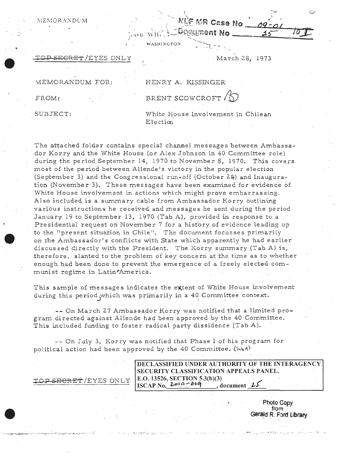Gelment No

WASHINGTON

 $\mathbb{R}^{n+1}$ 

## <del>ET</del>/EYES ONLY March 28, 1973

### .. MEMORANDUM FOR: HENRY A. KISSINGER

MEMORANDUM

# FROM: BRENT SCOWCROFT &

SUBJECT: **White. House Involvement in Chilean** Election

The attached folder contains special channel messages between Ambassador Korry and the White House (or Alex Johnson in 40 Committee role) during the period September 14, 1970 to November 8, 1970. This covers most of the period between Allende's victory in the popular election (September 3) and the Congressional run-off (October 2~} and Inauguration (November 3). These messages have been examined for evidence of White House involvement in actions which might prove embarrassing. Also included is a summary cable from Ambassador Korry outlining various instructions he received and messages he sent during the period. January 19 to September 13, 1970 (Tab A), provided in response to a Presidential request on November 7 for a hisfory of evidence leading up to the "present situation in Chile". The document focusses primarily on the Ambassador's conflicts with State which apparently he had earlier discussed directly with the President. The Korry summary (Tab A) is, therefore, slanted to the problem of key concern at the time as to whether enough had been done to prevent the emergence of a freely elected communist regime in Latin<sup>p</sup>America.

- -

This sample of messages indicates the extent of White House involvement during this period which was primarily in a 40 Committee context.

-- On March 27 Ambassador Korry was notified that a limited program directed against ALlende had been approved by the 40 Committee. This included funding to foster radical party dissidence (Tab A).

-- On July 3, Korry was notified that Phase I of his program for political action had been approved by the 40 Committee. ( $\overline{\mathbf{1}}$ 

|                      | DECLASSIFIED UNDER AUTHORITY OF THE INTERAGENCY               |  |
|----------------------|---------------------------------------------------------------|--|
|                      | <b>SECURITY CLASSIFICATION APPEALS PANEL.</b>                 |  |
| TOP SEGRET/EYES ONLY | E.O. 13526, SECTION 5.3(b)(3)<br>ISCAP No. $2010 - 0.99$ , do |  |
|                      | $document$ $25$                                               |  |

-*·:.* ·- ., *:.-;: :* 

**·Photo Copy from**  Gerald R. Ford Library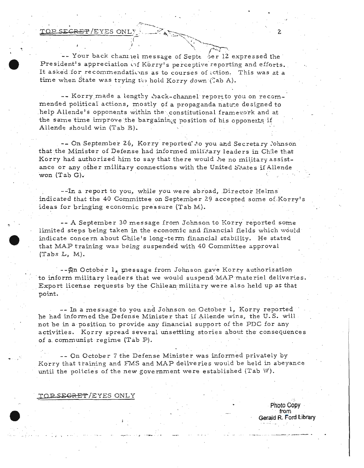TO<del>P SECRET</del>/EYES ONLY

-- Your back channel message of Septe of 12 expressed the President's appreciation of Korry's perceptive reporting and efforts. It asked for recommendations as to courses of ection. This was at a time when State was trying to hold Korry down (Lab A).

-- Korry made a lengthy hack-channel report to you on recommended political actions, mostly of a propaganda nature designed to help Allende's opponents within the constitutional framework and at the same time improve the bargaining position of his opponents if Allende should win (Tab B).

-- On September 26, Korry reported to you and Secretary lohnson that the Minister of Defense had informed military leaders in Chile that Korry had authorized him to say that there would be no military assistance or any other military connections with the United States if Allende won (Tab G).

--In a report to you, while you were abroad, Director Helms indicated that the 40 Committee on September 29 accepted some of Korry's ideas for bringing economic pressure (Tab M).

-- A September 30 message from Johnson to Korry reported some limited steps being taken in the economic and financial fields which would indicate concern about Chile's long-term financial stability. He stated that MAP training was being suspended with 40 Committee approval  $(Tabs L, M).$ 

-- An October 1, message from Johnson gave Korry authorization to inform military leaders that we would suspend MAP materiel deliveries. Export license requests by the Chilean military were also held up at that point.

-- In a message to you and Johnson on October 1, Korry reported he had informed the Defense Minister that if Allende wins, the U.S. will not be in a position to provide any financial support of the PDC for any activities. Korry spread several unsettling stories about the consequences of a communist regime (Tab P).

-- On October 7 the Defense Minister was informed privately by Korry that training and FMS and MAP deliveries would be held in abeyance until the policies of the new government were established (Tab W).

TOP SEGRET/EYES ONLY

Photo Copy  $from$ Gerald R Ford Library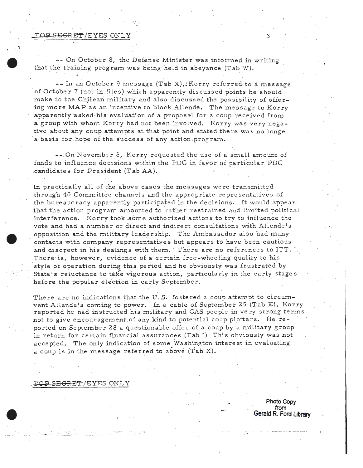### TOP SE<del>CRET</del> /EYES ONLY

-- On October 8, the Defense Minister was informed in writing that the training program was being held in abeyance (Tab W).

-- In an October 9 message (Tab X),.:Korry referred to a message of October 7 (not in files) which apparently discussed points he should make to the Chilean military and also discussed the possibility of offer ing more MAP as an incentive to block Allende. The message to Korry apparently asked his evaluation of a proposal for a coup received from a group with whom Korry had not been involved. Korry was very nega tive about any coup attempts at that point and stated there was no longer a basis for hope ofthe success of any action program.

--.On November 6, Korry requested the use of a small amount of funds to influence decisions within the PDC in favor of particular PDC candidates for President (Tab AA).

In practically all of the above cases the messages were transmitted through 40 Committee channels and the appropriate representatives of the bureaucracy apparently participated in the decisions. It would appear that the action program amounted *to* rather restrained and limited political interference. Kerry took .some authorized actions to try to influence the vote and had a number of direct and indirect consultations with Allende's opposition and the military leadership. The Ambassador also had many contacts with company representatives but appears to have been cautious and discreet in his dealings with them. There are no refe rences to ITT. There ·is, however, evidence of a certain free -wheeling quality to his style of operation during this period and he obviously was frustrated by State's reluctance to take vigorous action, particularly in the early stages before the popular election in early September.

There are no indications that the U.S. fostered a coup attempt to circumvent Allende's coming to power. In a cable of September 25 (Tab E), Korry. reported he had instructed his military and CAS people in very strong terms not to give encouragement of any kind to potential coup plotters. He reported on September 28 a questionable offer of a coup by a military group in return for certain financial assurances (Tab I) This obviously was not accepted. The only indication of some Washington interest in evaluating a coup is in the message referred to above (Tab X).

**l'OP** SECRET-/EYES ONLY

**Photo Copy from Gerald R. Ford Library**